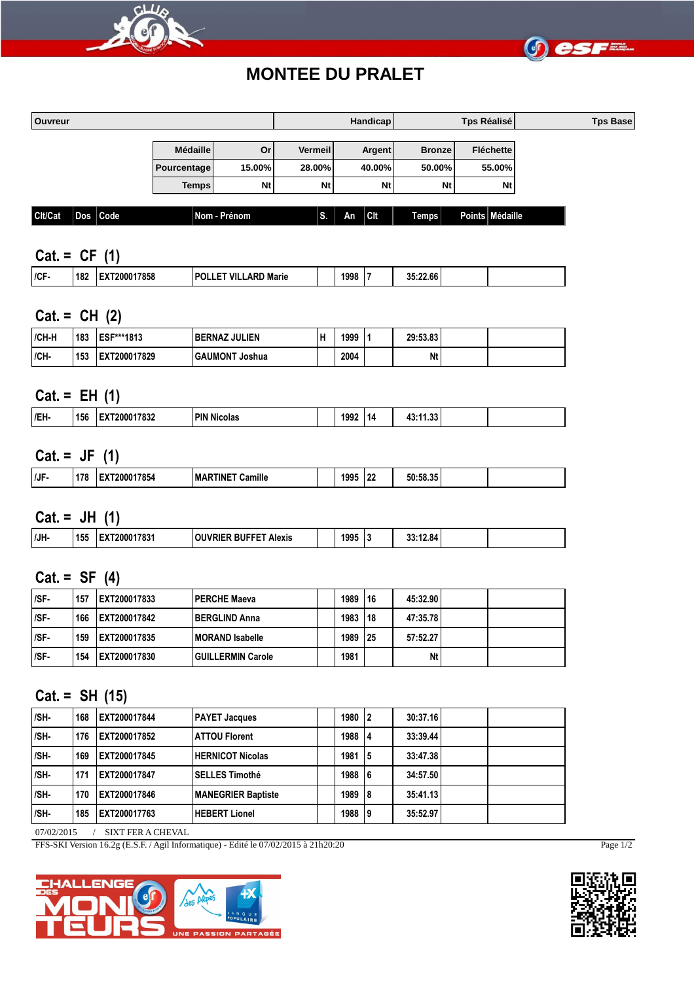



# **MONTEE DU PRALET**

| Ouvreur |  |              |                 |                 |                | Handicap    |               | Tps Réalisé      | <b>Tps Base</b> |
|---------|--|--------------|-----------------|-----------------|----------------|-------------|---------------|------------------|-----------------|
|         |  |              | <b>Médaille</b> | Or <sub>l</sub> | <b>Vermeil</b> | Argent      | <b>Bronze</b> | <b>Fléchette</b> |                 |
|         |  |              | Pourcentage     | 15.00%          | 28.00%         | 40.00%      | 50.00%        | 55.00%           |                 |
|         |  |              | <b>Temps</b>    | <b>Nt</b>       | <b>Nt</b>      | <b>Nt</b>   | <b>Nt</b>     | Nt               |                 |
| Cit/Cat |  | $Dos$ $Code$ |                 | Nom - Prénom    | ЪB.            | l Cit<br>An | Temps         | Points Médaille  |                 |

### **Cat. = CF (1)**

| ICF | 182 | 200017858 | ' VII<br><b>TPOL'</b><br><b>ARD</b><br>Marie | 1998 | 35:22.66 |  |
|-----|-----|-----------|----------------------------------------------|------|----------|--|
|     |     |           |                                              |      |          |  |

### **Cat. = CH (2)**

| /CH-H | 183 | <b>IESF***1813</b> | l BERNAZ JULIEN            | 1999 | 29:53.83 |  |
|-------|-----|--------------------|----------------------------|------|----------|--|
| ICH-  | 153 | EXT200017829       | <b>GAUMONT</b><br>Г Joshua | 2004 | Nt       |  |

### **Cat. = EH (1)**

| /EH | 156 | 17091<br>∕000′<br>7034 | <b>PIN Nicolas</b> | 1992 | $\sim$<br>πп.<br>. . |  |
|-----|-----|------------------------|--------------------|------|----------------------|--|
|     |     |                        |                    |      |                      |  |

### **Cat. = JF (1)**

|     |              | __             |                                           |      |                 |                    |  |
|-----|--------------|----------------|-------------------------------------------|------|-----------------|--------------------|--|
| /JF | $- -$<br>.78 | 17854<br>20001 | $\cdots$<br><b>TINE</b><br>MAF<br>Camillo | 1995 | 10 <sup>o</sup> | 50:58.35<br>.EO 9E |  |
|     |              |                |                                           |      |                 |                    |  |

**Cat. = JH (1)**

| /JH- | 155 | ooc<br>രാ | Alexis | 1995 | . . | .3.84 |  |  |
|------|-----|-----------|--------|------|-----|-------|--|--|
|      |     |           |        |      |     |       |  |  |

#### **Cat. = SF (4)**

| ISF- | 157 | IEXT200017833        | <b>I PERCHE Maeva</b> | 1989 | <b>116</b> | 45:32.90 |  |
|------|-----|----------------------|-----------------------|------|------------|----------|--|
| /SF- | 166 | IEXT200017842        | I BERGLIND Anna       | 1983 | <b>118</b> | 47:35.78 |  |
| /SF- | 159 | <b>IEXT200017835</b> | MORAND Isabelle       | 1989 | 125        | 57:52.27 |  |
| /SF- | 154 | <b>IEXT200017830</b> | GUILLERMIN Carole     | 1981 |            | Nt       |  |

#### **Cat. = SH (15)**

| /SH-       | 168 | IEXT200017844 | <b>PAYET Jacques</b>      | 1980 | 12 | 30:37.16 |  |  |
|------------|-----|---------------|---------------------------|------|----|----------|--|--|
| /SH-       | 176 | EXT200017852  | <b>ATTOU Florent</b>      | 1988 | 14 | 33:39.44 |  |  |
| /SH-       | 169 | EXT200017845  | HERNICOT Nicolas          | 1981 | 15 | 33:47.38 |  |  |
| /SH-       | 171 | EXT200017847  | SELLES Timothé            | 1988 | 16 | 34:57.50 |  |  |
| /SH-       | 170 | EXT200017846  | <b>MANEGRIER Baptiste</b> | 1989 | 18 | 35:41.13 |  |  |
| /SH-       | 185 | EXT200017763  | <b>HEBERT Lionel</b>      | 1988 | 19 | 35:52.97 |  |  |
| 07/00/0015 |     | $\alpha$      |                           |      |    |          |  |  |

07/02/2015 / SIXT FER A CHEVAL

FFS-SKI Version 16.2g (E.S.F. / Agil Informatique) - Edité le 07/02/2015 à 21h20:20 Page 1/2